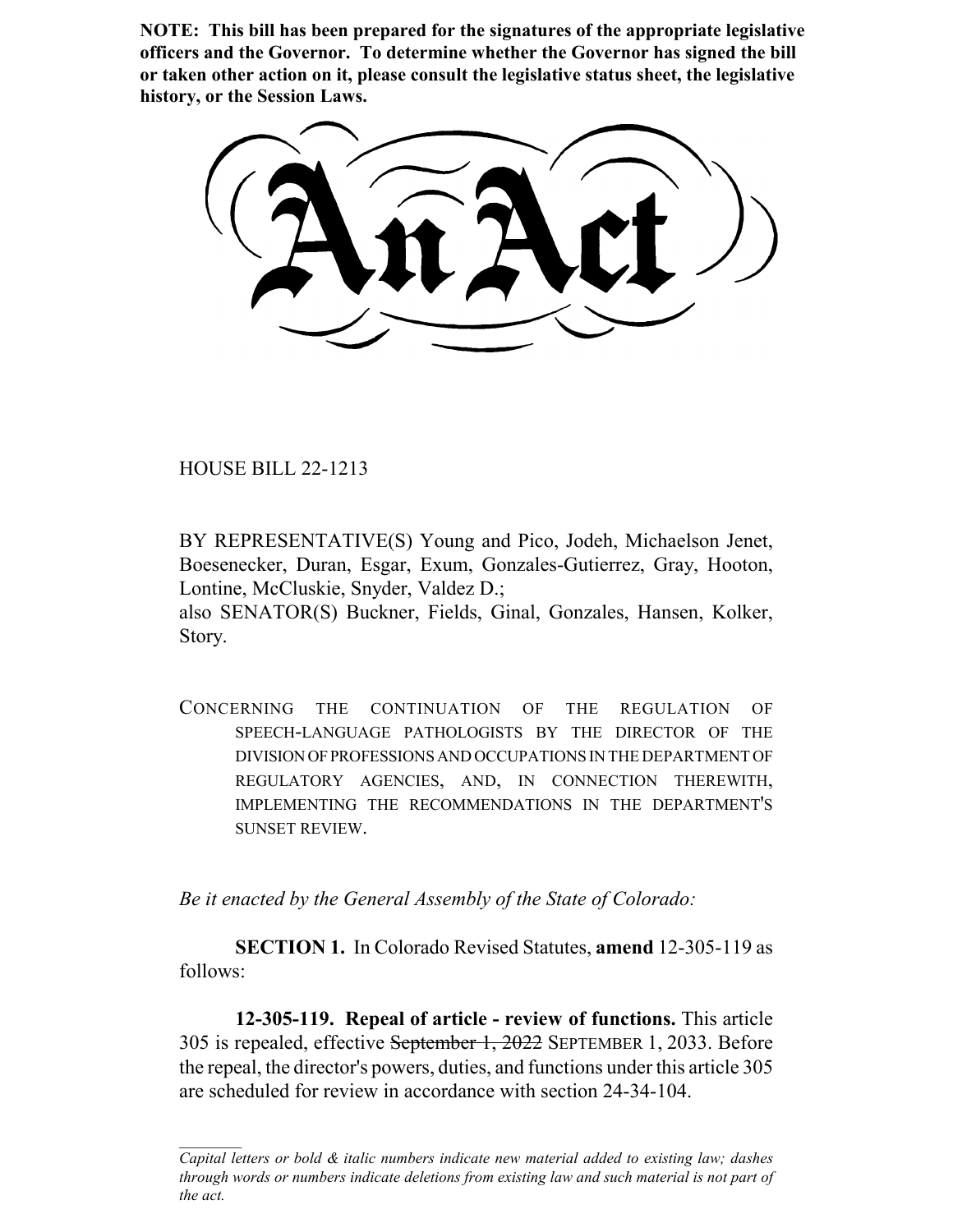**NOTE: This bill has been prepared for the signatures of the appropriate legislative officers and the Governor. To determine whether the Governor has signed the bill or taken other action on it, please consult the legislative status sheet, the legislative history, or the Session Laws.**

HOUSE BILL 22-1213

BY REPRESENTATIVE(S) Young and Pico, Jodeh, Michaelson Jenet, Boesenecker, Duran, Esgar, Exum, Gonzales-Gutierrez, Gray, Hooton, Lontine, McCluskie, Snyder, Valdez D.;

also SENATOR(S) Buckner, Fields, Ginal, Gonzales, Hansen, Kolker, Story.

CONCERNING THE CONTINUATION OF THE REGULATION OF SPEECH-LANGUAGE PATHOLOGISTS BY THE DIRECTOR OF THE DIVISION OF PROFESSIONS AND OCCUPATIONS IN THE DEPARTMENT OF REGULATORY AGENCIES, AND, IN CONNECTION THEREWITH, IMPLEMENTING THE RECOMMENDATIONS IN THE DEPARTMENT'S SUNSET REVIEW.

*Be it enacted by the General Assembly of the State of Colorado:*

**SECTION 1.** In Colorado Revised Statutes, **amend** 12-305-119 as follows:

**12-305-119. Repeal of article - review of functions.** This article 305 is repealed, effective September 1, 2022 SEPTEMBER 1, 2033. Before the repeal, the director's powers, duties, and functions under this article 305 are scheduled for review in accordance with section 24-34-104.

*Capital letters or bold & italic numbers indicate new material added to existing law; dashes through words or numbers indicate deletions from existing law and such material is not part of the act.*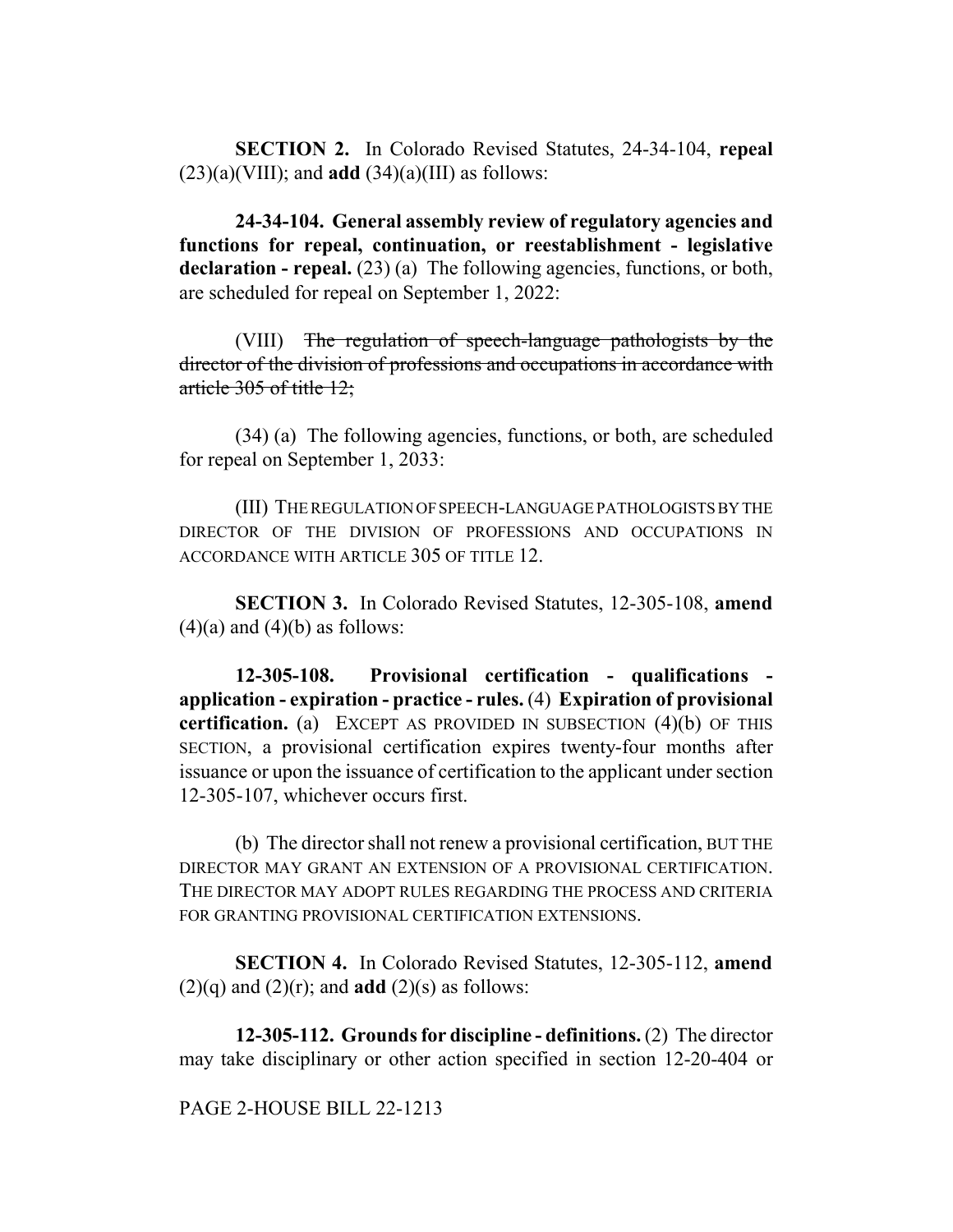**SECTION 2.** In Colorado Revised Statutes, 24-34-104, **repeal**  $(23)(a)(VIII)$ ; and **add**  $(34)(a)(III)$  as follows:

**24-34-104. General assembly review of regulatory agencies and functions for repeal, continuation, or reestablishment - legislative** declaration - repeal. (23) (a) The following agencies, functions, or both, are scheduled for repeal on September 1, 2022:

(VIII) The regulation of speech-language pathologists by the director of the division of professions and occupations in accordance with article 305 of title 12;

(34) (a) The following agencies, functions, or both, are scheduled for repeal on September 1, 2033:

(III) THE REGULATION OF SPEECH-LANGUAGE PATHOLOGISTS BY THE DIRECTOR OF THE DIVISION OF PROFESSIONS AND OCCUPATIONS IN ACCORDANCE WITH ARTICLE 305 OF TITLE 12.

**SECTION 3.** In Colorado Revised Statutes, 12-305-108, **amend**  $(4)(a)$  and  $(4)(b)$  as follows:

**12-305-108. Provisional certification - qualifications application - expiration - practice - rules.** (4) **Expiration of provisional certification.** (a) EXCEPT AS PROVIDED IN SUBSECTION (4)(b) OF THIS SECTION, a provisional certification expires twenty-four months after issuance or upon the issuance of certification to the applicant under section 12-305-107, whichever occurs first.

(b) The director shall not renew a provisional certification, BUT THE DIRECTOR MAY GRANT AN EXTENSION OF A PROVISIONAL CERTIFICATION. THE DIRECTOR MAY ADOPT RULES REGARDING THE PROCESS AND CRITERIA FOR GRANTING PROVISIONAL CERTIFICATION EXTENSIONS.

**SECTION 4.** In Colorado Revised Statutes, 12-305-112, **amend**  $(2)(q)$  and  $(2)(r)$ ; and **add**  $(2)(s)$  as follows:

**12-305-112. Grounds for discipline - definitions.** (2) The director may take disciplinary or other action specified in section 12-20-404 or

## PAGE 2-HOUSE BILL 22-1213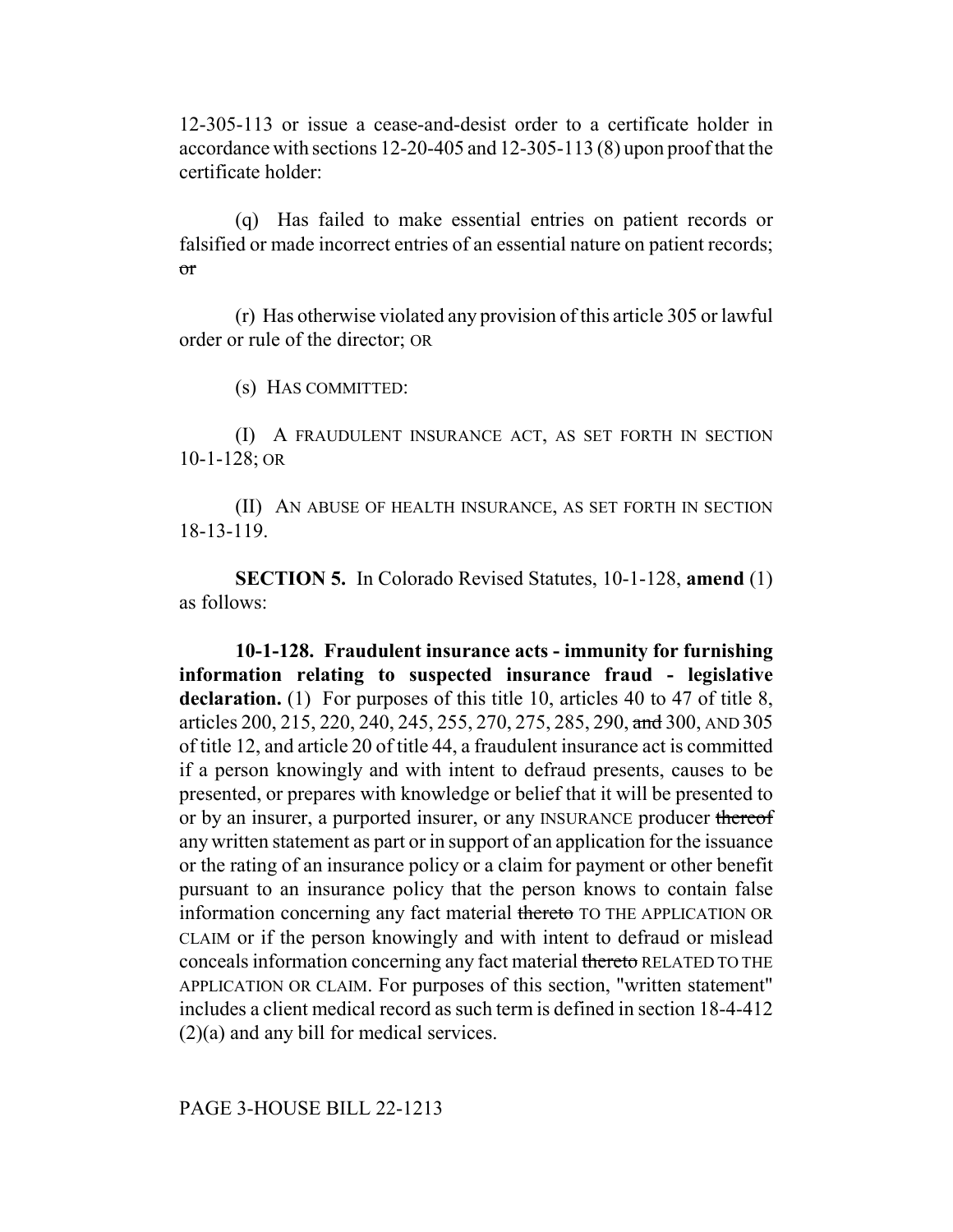12-305-113 or issue a cease-and-desist order to a certificate holder in accordance with sections 12-20-405 and 12-305-113 (8) upon proof that the certificate holder:

(q) Has failed to make essential entries on patient records or falsified or made incorrect entries of an essential nature on patient records; or

(r) Has otherwise violated any provision of this article 305 or lawful order or rule of the director; OR

(s) HAS COMMITTED:

(I) A FRAUDULENT INSURANCE ACT, AS SET FORTH IN SECTION 10-1-128; OR

(II) AN ABUSE OF HEALTH INSURANCE, AS SET FORTH IN SECTION 18-13-119.

**SECTION 5.** In Colorado Revised Statutes, 10-1-128, **amend** (1) as follows:

**10-1-128. Fraudulent insurance acts - immunity for furnishing information relating to suspected insurance fraud - legislative** declaration. (1) For purposes of this title 10, articles 40 to 47 of title 8, articles 200, 215, 220, 240, 245, 255, 270, 275, 285, 290, and 300, AND 305 of title 12, and article 20 of title 44, a fraudulent insurance act is committed if a person knowingly and with intent to defraud presents, causes to be presented, or prepares with knowledge or belief that it will be presented to or by an insurer, a purported insurer, or any INSURANCE producer thereof any written statement as part or in support of an application for the issuance or the rating of an insurance policy or a claim for payment or other benefit pursuant to an insurance policy that the person knows to contain false information concerning any fact material thereto TO THE APPLICATION OR CLAIM or if the person knowingly and with intent to defraud or mislead conceals information concerning any fact material thereto RELATED TO THE APPLICATION OR CLAIM. For purposes of this section, "written statement" includes a client medical record as such term is defined in section 18-4-412 (2)(a) and any bill for medical services.

PAGE 3-HOUSE BILL 22-1213